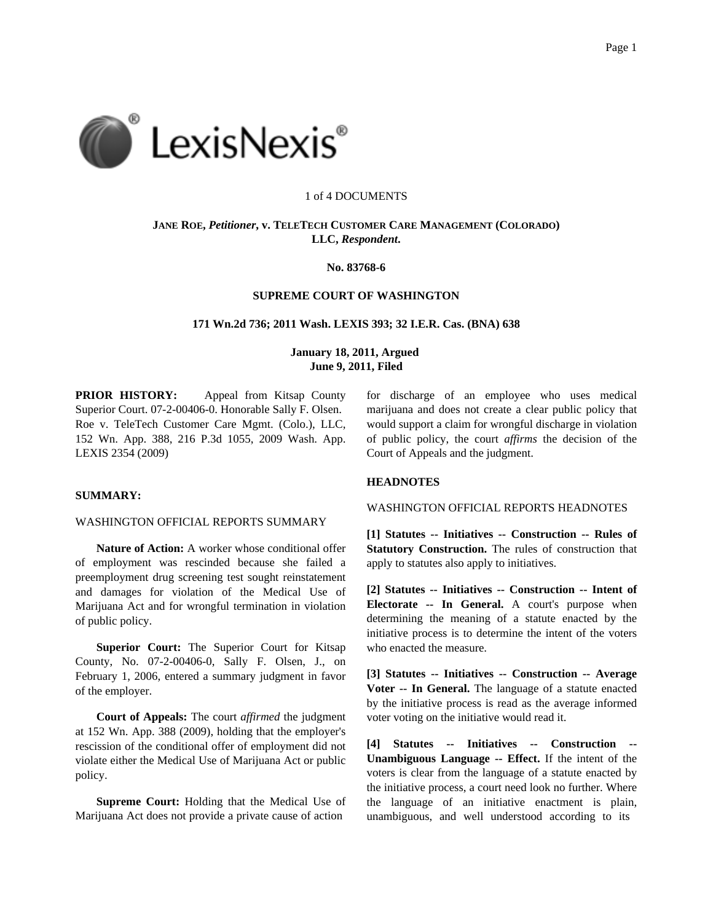

#### 1 of 4 DOCUMENTS

# **JANE ROE,** *Petitioner***, v. TELETECH CUSTOMER CARE MANAGEMENT (COLORADO) LLC,** *Respondent***.**

# **No. 83768-6**

# **SUPREME COURT OF WASHINGTON**

**171 Wn.2d 736; 2011 Wash. LEXIS 393; 32 I.E.R. Cas. (BNA) 638**

# **January 18, 2011, Argued June 9, 2011, Filed**

**PRIOR HISTORY:** Appeal from Kitsap County Superior Court. 07-2-00406-0. Honorable Sally F. Olsen. Roe v. TeleTech Customer Care Mgmt. (Colo.), LLC, 152 Wn. App. 388, 216 P.3d 1055, 2009 Wash. App. LEXIS 2354 (2009)

# **SUMMARY:**

## WASHINGTON OFFICIAL REPORTS SUMMARY

**Nature of Action:** A worker whose conditional offer of employment was rescinded because she failed a preemployment drug screening test sought reinstatement and damages for violation of the Medical Use of Marijuana Act and for wrongful termination in violation of public policy.

**Superior Court:** The Superior Court for Kitsap County, No. 07-2-00406-0, Sally F. Olsen, J., on February 1, 2006, entered a summary judgment in favor of the employer.

**Court of Appeals:** The court *affirmed* the judgment at 152 Wn. App. 388 (2009), holding that the employer's rescission of the conditional offer of employment did not violate either the Medical Use of Marijuana Act or public policy.

**Supreme Court:** Holding that the Medical Use of Marijuana Act does not provide a private cause of action

for discharge of an employee who uses medical marijuana and does not create a clear public policy that would support a claim for wrongful discharge in violation of public policy, the court *affirms* the decision of the Court of Appeals and the judgment.

#### **HEADNOTES**

WASHINGTON OFFICIAL REPORTS HEADNOTES

**[1] Statutes -- Initiatives -- Construction -- Rules of Statutory Construction.** The rules of construction that apply to statutes also apply to initiatives.

**[2] Statutes -- Initiatives -- Construction -- Intent of Electorate -- In General.** A court's purpose when determining the meaning of a statute enacted by the initiative process is to determine the intent of the voters who enacted the measure.

**[3] Statutes -- Initiatives -- Construction -- Average Voter -- In General.** The language of a statute enacted by the initiative process is read as the average informed voter voting on the initiative would read it.

**[4] Statutes -- Initiatives -- Construction -- Unambiguous Language -- Effect.** If the intent of the voters is clear from the language of a statute enacted by the initiative process, a court need look no further. Where the language of an initiative enactment is plain, unambiguous, and well understood according to its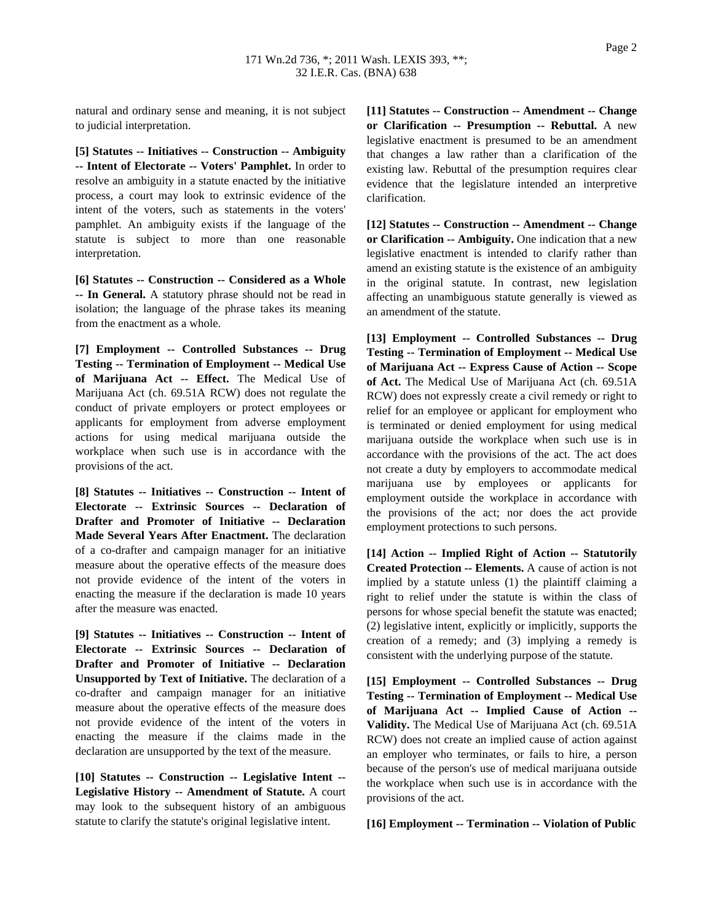natural and ordinary sense and meaning, it is not subject to judicial interpretation.

**[5] Statutes -- Initiatives -- Construction -- Ambiguity -- Intent of Electorate -- Voters' Pamphlet.** In order to resolve an ambiguity in a statute enacted by the initiative process, a court may look to extrinsic evidence of the intent of the voters, such as statements in the voters' pamphlet. An ambiguity exists if the language of the statute is subject to more than one reasonable interpretation.

**[6] Statutes -- Construction -- Considered as a Whole -- In General.** A statutory phrase should not be read in isolation; the language of the phrase takes its meaning from the enactment as a whole.

**[7] Employment -- Controlled Substances -- Drug Testing -- Termination of Employment -- Medical Use of Marijuana Act -- Effect.** The Medical Use of Marijuana Act (ch. 69.51A RCW) does not regulate the conduct of private employers or protect employees or applicants for employment from adverse employment actions for using medical marijuana outside the workplace when such use is in accordance with the provisions of the act.

**[8] Statutes -- Initiatives -- Construction -- Intent of Electorate -- Extrinsic Sources -- Declaration of Drafter and Promoter of Initiative -- Declaration Made Several Years After Enactment.** The declaration of a co-drafter and campaign manager for an initiative measure about the operative effects of the measure does not provide evidence of the intent of the voters in enacting the measure if the declaration is made 10 years after the measure was enacted.

**[9] Statutes -- Initiatives -- Construction -- Intent of Electorate -- Extrinsic Sources -- Declaration of Drafter and Promoter of Initiative -- Declaration Unsupported by Text of Initiative.** The declaration of a co-drafter and campaign manager for an initiative measure about the operative effects of the measure does not provide evidence of the intent of the voters in enacting the measure if the claims made in the declaration are unsupported by the text of the measure.

**[10] Statutes -- Construction -- Legislative Intent -- Legislative History -- Amendment of Statute.** A court may look to the subsequent history of an ambiguous statute to clarify the statute's original legislative intent.

**[11] Statutes -- Construction -- Amendment -- Change or Clarification -- Presumption -- Rebuttal.** A new legislative enactment is presumed to be an amendment that changes a law rather than a clarification of the existing law. Rebuttal of the presumption requires clear evidence that the legislature intended an interpretive clarification.

**[12] Statutes -- Construction -- Amendment -- Change or Clarification -- Ambiguity.** One indication that a new legislative enactment is intended to clarify rather than amend an existing statute is the existence of an ambiguity in the original statute. In contrast, new legislation affecting an unambiguous statute generally is viewed as an amendment of the statute.

**[13] Employment -- Controlled Substances -- Drug Testing -- Termination of Employment -- Medical Use of Marijuana Act -- Express Cause of Action -- Scope of Act.** The Medical Use of Marijuana Act (ch. 69.51A RCW) does not expressly create a civil remedy or right to relief for an employee or applicant for employment who is terminated or denied employment for using medical marijuana outside the workplace when such use is in accordance with the provisions of the act. The act does not create a duty by employers to accommodate medical marijuana use by employees or applicants for employment outside the workplace in accordance with the provisions of the act; nor does the act provide employment protections to such persons.

**[14] Action -- Implied Right of Action -- Statutorily Created Protection -- Elements.** A cause of action is not implied by a statute unless (1) the plaintiff claiming a right to relief under the statute is within the class of persons for whose special benefit the statute was enacted; (2) legislative intent, explicitly or implicitly, supports the creation of a remedy; and (3) implying a remedy is consistent with the underlying purpose of the statute.

**[15] Employment -- Controlled Substances -- Drug Testing -- Termination of Employment -- Medical Use of Marijuana Act -- Implied Cause of Action -- Validity.** The Medical Use of Marijuana Act (ch. 69.51A RCW) does not create an implied cause of action against an employer who terminates, or fails to hire, a person because of the person's use of medical marijuana outside the workplace when such use is in accordance with the provisions of the act.

**[16] Employment -- Termination -- Violation of Public**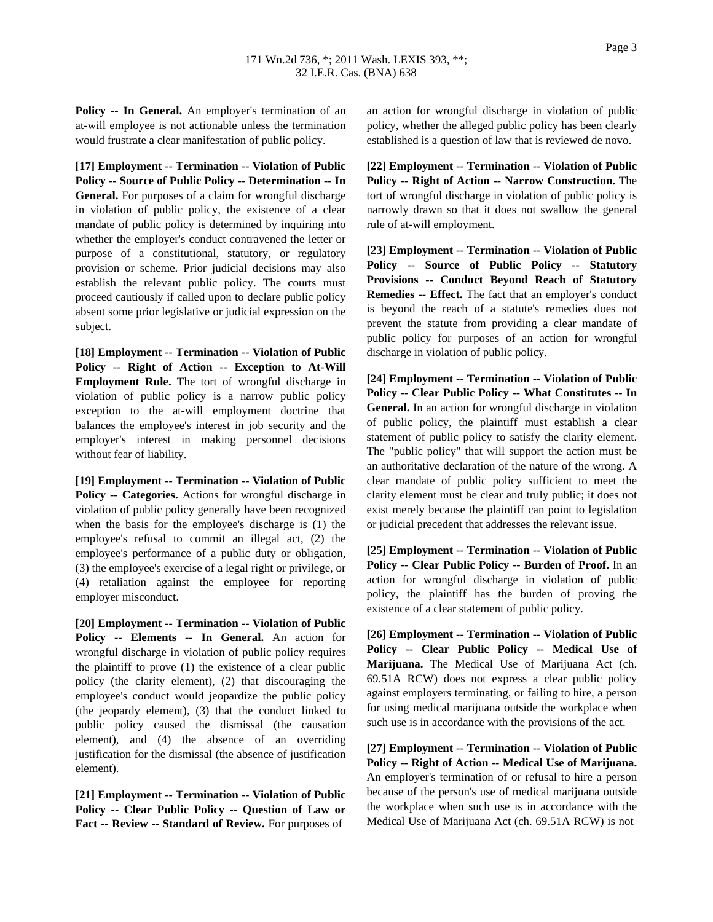**Policy -- In General.** An employer's termination of an at-will employee is not actionable unless the termination would frustrate a clear manifestation of public policy.

**[17] Employment -- Termination -- Violation of Public Policy -- Source of Public Policy -- Determination -- In General.** For purposes of a claim for wrongful discharge in violation of public policy, the existence of a clear mandate of public policy is determined by inquiring into whether the employer's conduct contravened the letter or purpose of a constitutional, statutory, or regulatory provision or scheme. Prior judicial decisions may also establish the relevant public policy. The courts must proceed cautiously if called upon to declare public policy absent some prior legislative or judicial expression on the subject.

**[18] Employment -- Termination -- Violation of Public Policy -- Right of Action -- Exception to At-Will Employment Rule.** The tort of wrongful discharge in violation of public policy is a narrow public policy exception to the at-will employment doctrine that balances the employee's interest in job security and the employer's interest in making personnel decisions without fear of liability.

**[19] Employment -- Termination -- Violation of Public Policy -- Categories.** Actions for wrongful discharge in violation of public policy generally have been recognized when the basis for the employee's discharge is (1) the employee's refusal to commit an illegal act, (2) the employee's performance of a public duty or obligation, (3) the employee's exercise of a legal right or privilege, or (4) retaliation against the employee for reporting employer misconduct.

**[20] Employment -- Termination -- Violation of Public Policy -- Elements -- In General.** An action for wrongful discharge in violation of public policy requires the plaintiff to prove (1) the existence of a clear public policy (the clarity element), (2) that discouraging the employee's conduct would jeopardize the public policy (the jeopardy element), (3) that the conduct linked to public policy caused the dismissal (the causation element), and (4) the absence of an overriding justification for the dismissal (the absence of justification element).

**[21] Employment -- Termination -- Violation of Public Policy -- Clear Public Policy -- Question of Law or Fact -- Review -- Standard of Review.** For purposes of

an action for wrongful discharge in violation of public policy, whether the alleged public policy has been clearly established is a question of law that is reviewed de novo.

**[22] Employment -- Termination -- Violation of Public Policy -- Right of Action -- Narrow Construction.** The tort of wrongful discharge in violation of public policy is narrowly drawn so that it does not swallow the general rule of at-will employment.

**[23] Employment -- Termination -- Violation of Public Policy -- Source of Public Policy -- Statutory Provisions -- Conduct Beyond Reach of Statutory Remedies -- Effect.** The fact that an employer's conduct is beyond the reach of a statute's remedies does not prevent the statute from providing a clear mandate of public policy for purposes of an action for wrongful discharge in violation of public policy.

**[24] Employment -- Termination -- Violation of Public Policy -- Clear Public Policy -- What Constitutes -- In General.** In an action for wrongful discharge in violation of public policy, the plaintiff must establish a clear statement of public policy to satisfy the clarity element. The "public policy" that will support the action must be an authoritative declaration of the nature of the wrong. A clear mandate of public policy sufficient to meet the clarity element must be clear and truly public; it does not exist merely because the plaintiff can point to legislation or judicial precedent that addresses the relevant issue.

**[25] Employment -- Termination -- Violation of Public Policy -- Clear Public Policy -- Burden of Proof.** In an action for wrongful discharge in violation of public policy, the plaintiff has the burden of proving the existence of a clear statement of public policy.

**[26] Employment -- Termination -- Violation of Public Policy -- Clear Public Policy -- Medical Use of Marijuana.** The Medical Use of Marijuana Act (ch. 69.51A RCW) does not express a clear public policy against employers terminating, or failing to hire, a person for using medical marijuana outside the workplace when such use is in accordance with the provisions of the act.

**[27] Employment -- Termination -- Violation of Public Policy -- Right of Action -- Medical Use of Marijuana.** An employer's termination of or refusal to hire a person because of the person's use of medical marijuana outside the workplace when such use is in accordance with the Medical Use of Marijuana Act (ch. 69.51A RCW) is not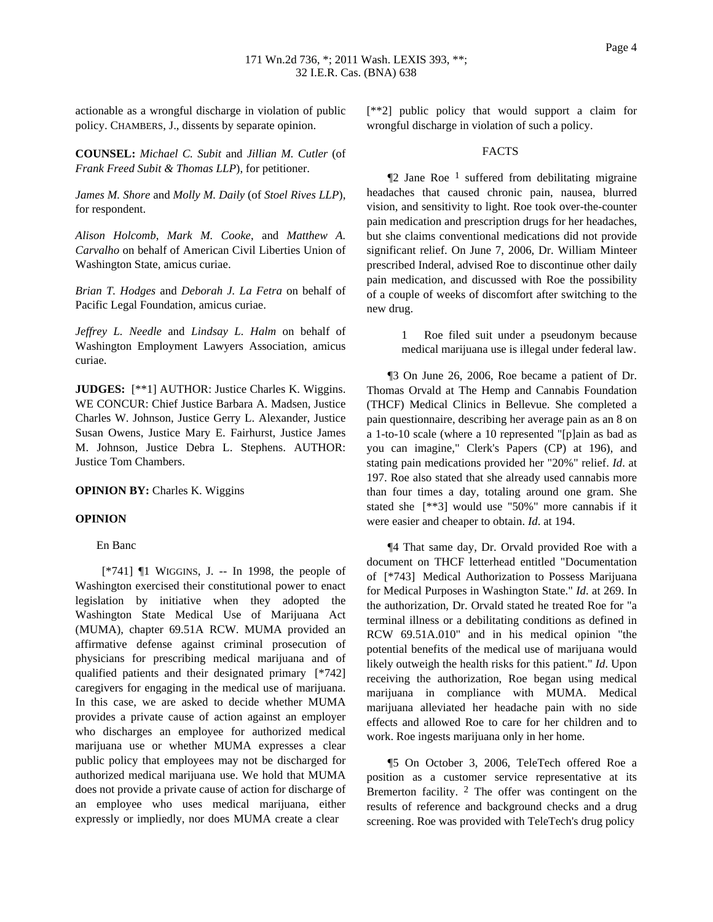actionable as a wrongful discharge in violation of public policy. CHAMBERS, J., dissents by separate opinion.

**COUNSEL:** *Michael C. Subit* and *Jillian M. Cutler* (of *Frank Freed Subit & Thomas LLP*), for petitioner.

*James M. Shore* and *Molly M. Daily* (of *Stoel Rives LLP*), for respondent.

*Alison Holcomb*, *Mark M. Cooke*, and *Matthew A. Carvalho* on behalf of American Civil Liberties Union of Washington State, amicus curiae.

*Brian T. Hodges* and *Deborah J. La Fetra* on behalf of Pacific Legal Foundation, amicus curiae.

*Jeffrey L. Needle* and *Lindsay L. Halm* on behalf of Washington Employment Lawyers Association, amicus curiae.

**JUDGES:** [\*\*1] AUTHOR: Justice Charles K. Wiggins. WE CONCUR: Chief Justice Barbara A. Madsen, Justice Charles W. Johnson, Justice Gerry L. Alexander, Justice Susan Owens, Justice Mary E. Fairhurst, Justice James M. Johnson, Justice Debra L. Stephens. AUTHOR: Justice Tom Chambers.

**OPINION BY:** Charles K. Wiggins

#### **OPINION**

### En Banc

 $[*/741]$  ¶1 WIGGINS, J. -- In 1998, the people of Washington exercised their constitutional power to enact legislation by initiative when they adopted the Washington State Medical Use of Marijuana Act (MUMA), chapter 69.51A RCW. MUMA provided an affirmative defense against criminal prosecution of physicians for prescribing medical marijuana and of qualified patients and their designated primary [\*742] caregivers for engaging in the medical use of marijuana. In this case, we are asked to decide whether MUMA provides a private cause of action against an employer who discharges an employee for authorized medical marijuana use or whether MUMA expresses a clear public policy that employees may not be discharged for authorized medical marijuana use. We hold that MUMA does not provide a private cause of action for discharge of an employee who uses medical marijuana, either expressly or impliedly, nor does MUMA create a clear

[\*\*2] public policy that would support a claim for wrongful discharge in violation of such a policy.

#### FACTS

 $\P$ 2 Jane Roe<sup>1</sup> suffered from debilitating migraine headaches that caused chronic pain, nausea, blurred vision, and sensitivity to light. Roe took over-the-counter pain medication and prescription drugs for her headaches, but she claims conventional medications did not provide significant relief. On June 7, 2006, Dr. William Minteer prescribed Inderal, advised Roe to discontinue other daily pain medication, and discussed with Roe the possibility of a couple of weeks of discomfort after switching to the new drug.

> 1 Roe filed suit under a pseudonym because medical marijuana use is illegal under federal law.

¶3 On June 26, 2006, Roe became a patient of Dr. Thomas Orvald at The Hemp and Cannabis Foundation (THCF) Medical Clinics in Bellevue. She completed a pain questionnaire, describing her average pain as an 8 on a 1-to-10 scale (where a 10 represented "[p]ain as bad as you can imagine," Clerk's Papers (CP) at 196), and stating pain medications provided her "20%" relief. *Id*. at 197. Roe also stated that she already used cannabis more than four times a day, totaling around one gram. She stated she [\*\*3] would use "50%" more cannabis if it were easier and cheaper to obtain. *Id*. at 194.

¶4 That same day, Dr. Orvald provided Roe with a document on THCF letterhead entitled "Documentation of [\*743] Medical Authorization to Possess Marijuana for Medical Purposes in Washington State." *Id*. at 269. In the authorization, Dr. Orvald stated he treated Roe for "a terminal illness or a debilitating conditions as defined in RCW 69.51A.010" and in his medical opinion "the potential benefits of the medical use of marijuana would likely outweigh the health risks for this patient." *Id*. Upon receiving the authorization, Roe began using medical marijuana in compliance with MUMA. Medical marijuana alleviated her headache pain with no side effects and allowed Roe to care for her children and to work. Roe ingests marijuana only in her home.

¶5 On October 3, 2006, TeleTech offered Roe a position as a customer service representative at its Bremerton facility.  $2$  The offer was contingent on the results of reference and background checks and a drug screening. Roe was provided with TeleTech's drug policy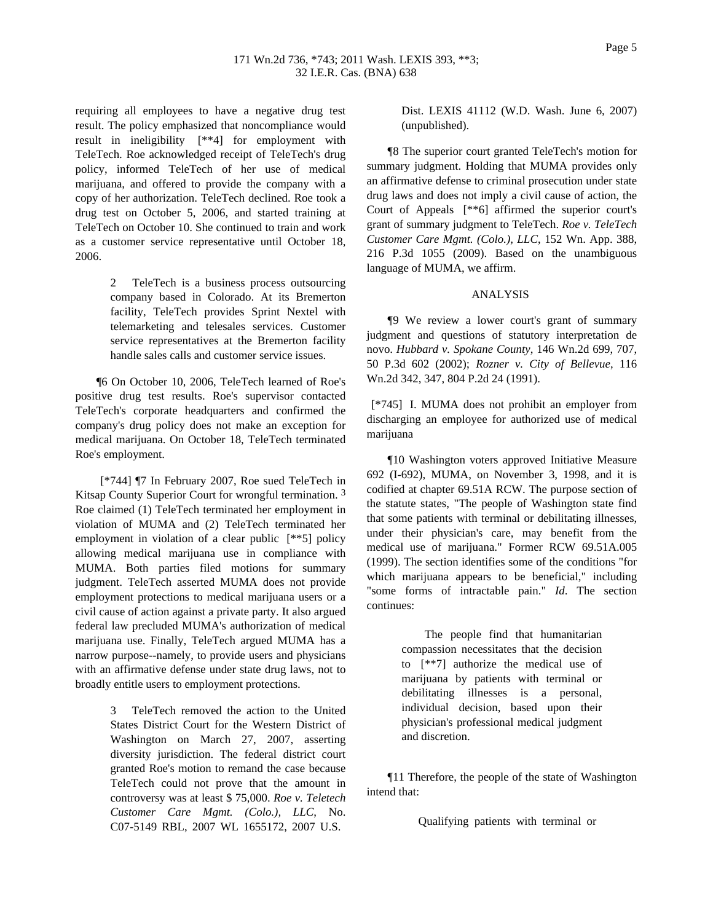requiring all employees to have a negative drug test result. The policy emphasized that noncompliance would result in ineligibility [\*\*4] for employment with TeleTech. Roe acknowledged receipt of TeleTech's drug policy, informed TeleTech of her use of medical marijuana, and offered to provide the company with a copy of her authorization. TeleTech declined. Roe took a drug test on October 5, 2006, and started training at TeleTech on October 10. She continued to train and work as a customer service representative until October 18, 2006.

> 2 TeleTech is a business process outsourcing company based in Colorado. At its Bremerton facility, TeleTech provides Sprint Nextel with telemarketing and telesales services. Customer service representatives at the Bremerton facility handle sales calls and customer service issues.

¶6 On October 10, 2006, TeleTech learned of Roe's positive drug test results. Roe's supervisor contacted TeleTech's corporate headquarters and confirmed the company's drug policy does not make an exception for medical marijuana. On October 18, TeleTech terminated Roe's employment.

[\*744] ¶7 In February 2007, Roe sued TeleTech in Kitsap County Superior Court for wrongful termination.<sup>3</sup> Roe claimed (1) TeleTech terminated her employment in violation of MUMA and (2) TeleTech terminated her employment in violation of a clear public [\*\*5] policy allowing medical marijuana use in compliance with MUMA. Both parties filed motions for summary judgment. TeleTech asserted MUMA does not provide employment protections to medical marijuana users or a civil cause of action against a private party. It also argued federal law precluded MUMA's authorization of medical marijuana use. Finally, TeleTech argued MUMA has a narrow purpose--namely, to provide users and physicians with an affirmative defense under state drug laws, not to broadly entitle users to employment protections.

> TeleTech removed the action to the United States District Court for the Western District of Washington on March 27, 2007, asserting diversity jurisdiction. The federal district court granted Roe's motion to remand the case because TeleTech could not prove that the amount in controversy was at least \$ 75,000. *Roe v. Teletech Customer Care Mgmt. (Colo.), LLC*, No. C07-5149 RBL, 2007 WL 1655172, 2007 U.S.

Dist. LEXIS 41112 (W.D. Wash. June 6, 2007) (unpublished).

¶8 The superior court granted TeleTech's motion for summary judgment. Holding that MUMA provides only an affirmative defense to criminal prosecution under state drug laws and does not imply a civil cause of action, the Court of Appeals [\*\*6] affirmed the superior court's grant of summary judgment to TeleTech. *Roe v. TeleTech Customer Care Mgmt. (Colo.), LLC*, 152 Wn. App. 388, 216 P.3d 1055 (2009). Based on the unambiguous language of MUMA, we affirm.

#### ANALYSIS

¶9 We review a lower court's grant of summary judgment and questions of statutory interpretation de novo. *Hubbard v. Spokane County*, 146 Wn.2d 699, 707, 50 P.3d 602 (2002); *Rozner v. City of Bellevue*, 116 Wn.2d 342, 347, 804 P.2d 24 (1991).

[\*745] I. MUMA does not prohibit an employer from discharging an employee for authorized use of medical marijuana

¶10 Washington voters approved Initiative Measure 692 (I-692), MUMA, on November 3, 1998, and it is codified at chapter 69.51A RCW. The purpose section of the statute states, "The people of Washington state find that some patients with terminal or debilitating illnesses, under their physician's care, may benefit from the medical use of marijuana." Former RCW 69.51A.005 (1999). The section identifies some of the conditions "for which marijuana appears to be beneficial," including "some forms of intractable pain." *Id*. The section continues:

> The people find that humanitarian compassion necessitates that the decision to [\*\*7] authorize the medical use of marijuana by patients with terminal or debilitating illnesses is a personal, individual decision, based upon their physician's professional medical judgment and discretion.

¶11 Therefore, the people of the state of Washington intend that:

Qualifying patients with terminal or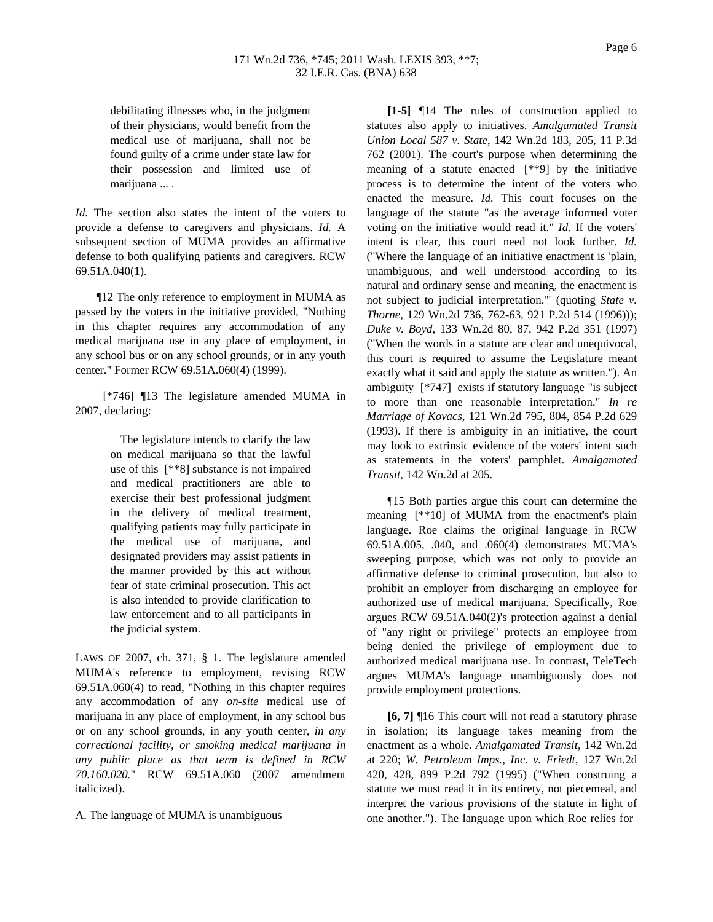debilitating illnesses who, in the judgment of their physicians, would benefit from the medical use of marijuana, shall not be found guilty of a crime under state law for their possession and limited use of marijuana ... .

*Id.* The section also states the intent of the voters to provide a defense to caregivers and physicians. *Id.* A subsequent section of MUMA provides an affirmative defense to both qualifying patients and caregivers. RCW 69.51A.040(1).

¶12 The only reference to employment in MUMA as passed by the voters in the initiative provided, "Nothing in this chapter requires any accommodation of any medical marijuana use in any place of employment, in any school bus or on any school grounds, or in any youth center." Former RCW 69.51A.060(4) (1999).

[\*746] ¶13 The legislature amended MUMA in 2007, declaring:

> The legislature intends to clarify the law on medical marijuana so that the lawful use of this [\*\*8] substance is not impaired and medical practitioners are able to exercise their best professional judgment in the delivery of medical treatment, qualifying patients may fully participate in the medical use of marijuana, and designated providers may assist patients in the manner provided by this act without fear of state criminal prosecution. This act is also intended to provide clarification to law enforcement and to all participants in the judicial system.

LAWS OF 2007, ch. 371, § 1. The legislature amended MUMA's reference to employment, revising RCW 69.51A.060(4) to read, "Nothing in this chapter requires any accommodation of any *on-site* medical use of marijuana in any place of employment, in any school bus or on any school grounds, in any youth center, *in any correctional facility, or smoking medical marijuana in any public place as that term is defined in RCW 70.160.020.*" RCW 69.51A.060 (2007 amendment italicized).

A. The language of MUMA is unambiguous

**[1-5]** ¶14 The rules of construction applied to statutes also apply to initiatives. *Amalgamated Transit Union Local 587 v. State*, 142 Wn.2d 183, 205, 11 P.3d 762 (2001). The court's purpose when determining the meaning of a statute enacted [\*\*9] by the initiative process is to determine the intent of the voters who enacted the measure. *Id.* This court focuses on the language of the statute "as the average informed voter voting on the initiative would read it." *Id.* If the voters' intent is clear, this court need not look further. *Id.* ("Where the language of an initiative enactment is 'plain, unambiguous, and well understood according to its natural and ordinary sense and meaning, the enactment is not subject to judicial interpretation.'" (quoting *State v. Thorne*, 129 Wn.2d 736, 762-63, 921 P.2d 514 (1996))); *Duke v. Boyd*, 133 Wn.2d 80, 87, 942 P.2d 351 (1997) ("When the words in a statute are clear and unequivocal, this court is required to assume the Legislature meant exactly what it said and apply the statute as written."). An ambiguity [\*747] exists if statutory language "is subject to more than one reasonable interpretation." *In re Marriage of Kovacs*, 121 Wn.2d 795, 804, 854 P.2d 629 (1993). If there is ambiguity in an initiative, the court may look to extrinsic evidence of the voters' intent such as statements in the voters' pamphlet. *Amalgamated Transit*, 142 Wn.2d at 205.

¶15 Both parties argue this court can determine the meaning [\*\*10] of MUMA from the enactment's plain language. Roe claims the original language in RCW 69.51A.005, .040, and .060(4) demonstrates MUMA's sweeping purpose, which was not only to provide an affirmative defense to criminal prosecution, but also to prohibit an employer from discharging an employee for authorized use of medical marijuana. Specifically, Roe argues RCW 69.51A.040(2)'s protection against a denial of "any right or privilege" protects an employee from being denied the privilege of employment due to authorized medical marijuana use. In contrast, TeleTech argues MUMA's language unambiguously does not provide employment protections.

**[6, 7]** ¶16 This court will not read a statutory phrase in isolation; its language takes meaning from the enactment as a whole. *Amalgamated Transit*, 142 Wn.2d at 220; *W. Petroleum Imps., Inc. v. Friedt*, 127 Wn.2d 420, 428, 899 P.2d 792 (1995) ("When construing a statute we must read it in its entirety, not piecemeal, and interpret the various provisions of the statute in light of one another."). The language upon which Roe relies for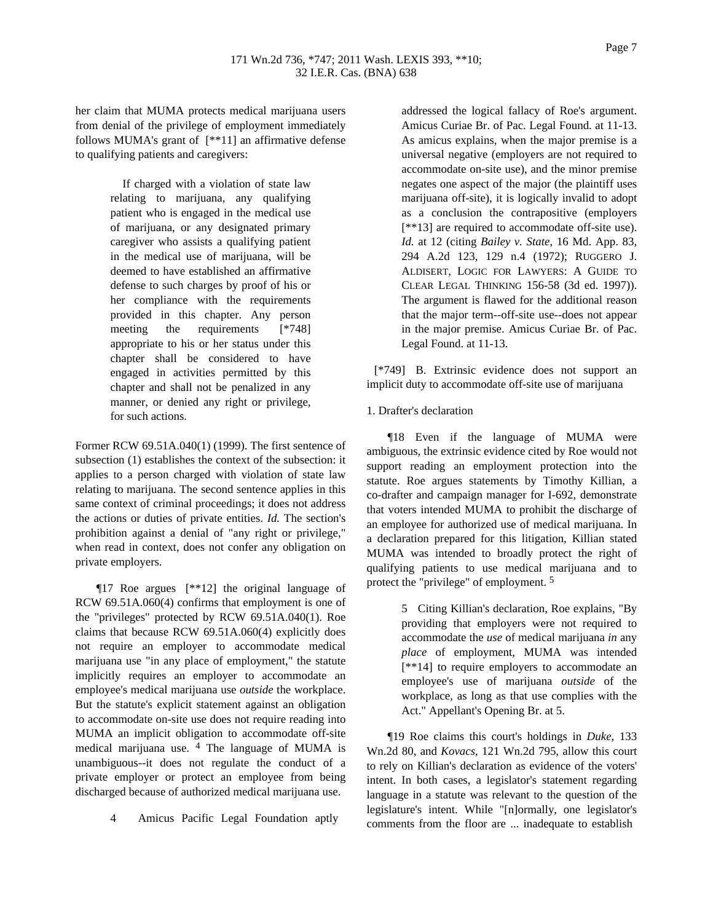her claim that MUMA protects medical marijuana users from denial of the privilege of employment immediately follows MUMA's grant of [\*\*11] an affirmative defense to qualifying patients and caregivers:

> If charged with a violation of state law relating to marijuana, any qualifying patient who is engaged in the medical use of marijuana, or any designated primary caregiver who assists a qualifying patient in the medical use of marijuana, will be deemed to have established an affirmative defense to such charges by proof of his or her compliance with the requirements provided in this chapter. Any person meeting the requirements [\*748] appropriate to his or her status under this chapter shall be considered to have engaged in activities permitted by this chapter and shall not be penalized in any manner, or denied any right or privilege, for such actions.

Former RCW 69.51A.040(1) (1999). The first sentence of subsection (1) establishes the context of the subsection: it applies to a person charged with violation of state law relating to marijuana. The second sentence applies in this same context of criminal proceedings; it does not address the actions or duties of private entities. *Id.* The section's prohibition against a denial of "any right or privilege," when read in context, does not confer any obligation on private employers.

¶17 Roe argues [\*\*12] the original language of RCW 69.51A.060(4) confirms that employment is one of the "privileges" protected by RCW 69.51A.040(1). Roe claims that because RCW 69.51A.060(4) explicitly does not require an employer to accommodate medical marijuana use "in any place of employment," the statute implicitly requires an employer to accommodate an employee's medical marijuana use *outside* the workplace. But the statute's explicit statement against an obligation to accommodate on-site use does not require reading into MUMA an implicit obligation to accommodate off-site medical marijuana use. 4 The language of MUMA is unambiguous--it does not regulate the conduct of a private employer or protect an employee from being discharged because of authorized medical marijuana use.

4 Amicus Pacific Legal Foundation aptly

addressed the logical fallacy of Roe's argument. Amicus Curiae Br. of Pac. Legal Found. at 11-13. As amicus explains, when the major premise is a universal negative (employers are not required to accommodate on-site use), and the minor premise negates one aspect of the major (the plaintiff uses marijuana off-site), it is logically invalid to adopt as a conclusion the contrapositive (employers [\*\*13] are required to accommodate off-site use). *Id.* at 12 (citing *Bailey v. State*, 16 Md. App. 83, 294 A.2d 123, 129 n.4 (1972); RUGGERO J. ALDISERT, LOGIC FOR LAWYERS: A GUIDE TO CLEAR LEGAL THINKING 156-58 (3d ed. 1997)). The argument is flawed for the additional reason that the major term--off-site use--does not appear in the major premise. Amicus Curiae Br. of Pac. Legal Found. at 11-13.

[\*749] B. Extrinsic evidence does not support an implicit duty to accommodate off-site use of marijuana

# 1. Drafter's declaration

¶18 Even if the language of MUMA were ambiguous, the extrinsic evidence cited by Roe would not support reading an employment protection into the statute. Roe argues statements by Timothy Killian, a co-drafter and campaign manager for I-692, demonstrate that voters intended MUMA to prohibit the discharge of an employee for authorized use of medical marijuana. In a declaration prepared for this litigation, Killian stated MUMA was intended to broadly protect the right of qualifying patients to use medical marijuana and to protect the "privilege" of employment. 5

> 5 Citing Killian's declaration, Roe explains, "By providing that employers were not required to accommodate the *use* of medical marijuana *in* any *place* of employment, MUMA was intended [\*\*14] to require employers to accommodate an employee's use of marijuana *outside* of the workplace, as long as that use complies with the Act." Appellant's Opening Br. at 5.

¶19 Roe claims this court's holdings in *Duke*, 133 Wn.2d 80, and *Kovacs*, 121 Wn.2d 795, allow this court to rely on Killian's declaration as evidence of the voters' intent. In both cases, a legislator's statement regarding language in a statute was relevant to the question of the legislature's intent. While "[n]ormally, one legislator's comments from the floor are ... inadequate to establish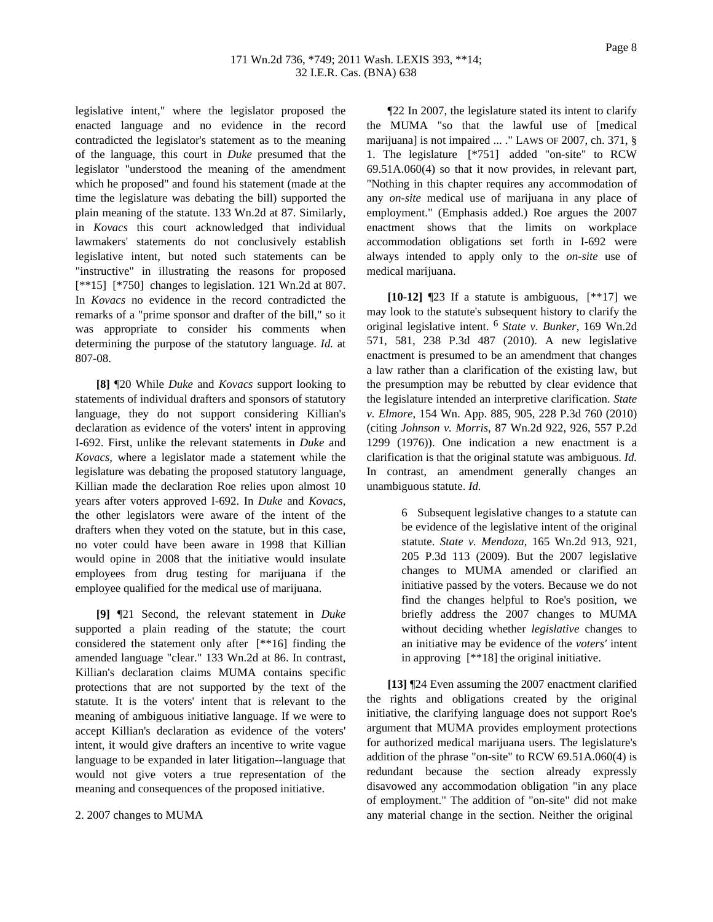legislative intent," where the legislator proposed the enacted language and no evidence in the record contradicted the legislator's statement as to the meaning of the language, this court in *Duke* presumed that the legislator "understood the meaning of the amendment which he proposed" and found his statement (made at the time the legislature was debating the bill) supported the plain meaning of the statute. 133 Wn.2d at 87. Similarly, in *Kovacs* this court acknowledged that individual lawmakers' statements do not conclusively establish legislative intent, but noted such statements can be "instructive" in illustrating the reasons for proposed [\*\*15] [\*750] changes to legislation. 121 Wn.2d at 807. In *Kovacs* no evidence in the record contradicted the remarks of a "prime sponsor and drafter of the bill," so it was appropriate to consider his comments when determining the purpose of the statutory language. *Id.* at 807-08.

**[8]** ¶20 While *Duke* and *Kovacs* support looking to statements of individual drafters and sponsors of statutory language, they do not support considering Killian's declaration as evidence of the voters' intent in approving I-692. First, unlike the relevant statements in *Duke* and *Kovacs*, where a legislator made a statement while the legislature was debating the proposed statutory language, Killian made the declaration Roe relies upon almost 10 years after voters approved I-692. In *Duke* and *Kovacs*, the other legislators were aware of the intent of the drafters when they voted on the statute, but in this case, no voter could have been aware in 1998 that Killian would opine in 2008 that the initiative would insulate employees from drug testing for marijuana if the employee qualified for the medical use of marijuana.

**[9]** ¶21 Second, the relevant statement in *Duke* supported a plain reading of the statute; the court considered the statement only after [\*\*16] finding the amended language "clear." 133 Wn.2d at 86. In contrast, Killian's declaration claims MUMA contains specific protections that are not supported by the text of the statute. It is the voters' intent that is relevant to the meaning of ambiguous initiative language. If we were to accept Killian's declaration as evidence of the voters' intent, it would give drafters an incentive to write vague language to be expanded in later litigation--language that would not give voters a true representation of the meaning and consequences of the proposed initiative.

#### 2. 2007 changes to MUMA

¶22 In 2007, the legislature stated its intent to clarify the MUMA "so that the lawful use of [medical marijuana] is not impaired ... ." LAWS OF 2007, ch. 371, § 1. The legislature [\*751] added "on-site" to RCW 69.51A.060(4) so that it now provides, in relevant part, "Nothing in this chapter requires any accommodation of any *on-site* medical use of marijuana in any place of employment." (Emphasis added.) Roe argues the 2007 enactment shows that the limits on workplace accommodation obligations set forth in I-692 were always intended to apply only to the *on-site* use of medical marijuana.

**[10-12]** ¶23 If a statute is ambiguous, [\*\*17] we may look to the statute's subsequent history to clarify the original legislative intent. 6 *State v. Bunker*, 169 Wn.2d 571, 581, 238 P.3d 487 (2010). A new legislative enactment is presumed to be an amendment that changes a law rather than a clarification of the existing law, but the presumption may be rebutted by clear evidence that the legislature intended an interpretive clarification. *State v. Elmore*, 154 Wn. App. 885, 905, 228 P.3d 760 (2010) (citing *Johnson v. Morris*, 87 Wn.2d 922, 926, 557 P.2d 1299 (1976)). One indication a new enactment is a clarification is that the original statute was ambiguous. *Id.* In contrast, an amendment generally changes an unambiguous statute. *Id.*

> 6 Subsequent legislative changes to a statute can be evidence of the legislative intent of the original statute. *State v. Mendoza*, 165 Wn.2d 913, 921, 205 P.3d 113 (2009). But the 2007 legislative changes to MUMA amended or clarified an initiative passed by the voters. Because we do not find the changes helpful to Roe's position, we briefly address the 2007 changes to MUMA without deciding whether *legislative* changes to an initiative may be evidence of the *voters'* intent in approving [\*\*18] the original initiative.

**[13]** ¶24 Even assuming the 2007 enactment clarified the rights and obligations created by the original initiative, the clarifying language does not support Roe's argument that MUMA provides employment protections for authorized medical marijuana users. The legislature's addition of the phrase "on-site" to RCW 69.51A.060(4) is redundant because the section already expressly disavowed any accommodation obligation "in any place of employment." The addition of "on-site" did not make any material change in the section. Neither the original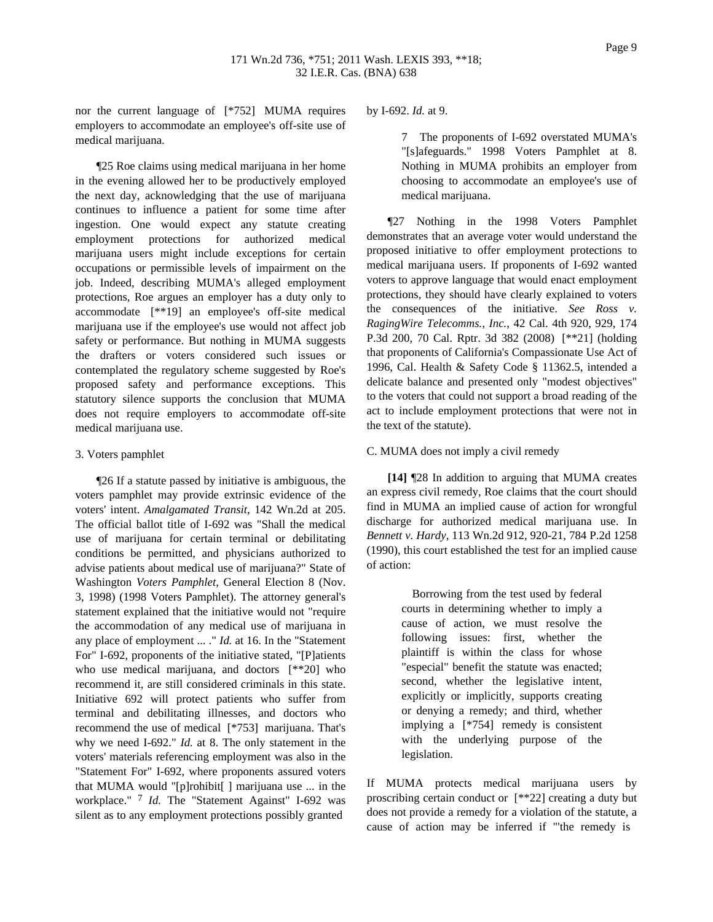nor the current language of [\*752] MUMA requires employers to accommodate an employee's off-site use of medical marijuana.

¶25 Roe claims using medical marijuana in her home in the evening allowed her to be productively employed the next day, acknowledging that the use of marijuana continues to influence a patient for some time after ingestion. One would expect any statute creating employment protections for authorized medical marijuana users might include exceptions for certain occupations or permissible levels of impairment on the job. Indeed, describing MUMA's alleged employment protections, Roe argues an employer has a duty only to accommodate [\*\*19] an employee's off-site medical marijuana use if the employee's use would not affect job safety or performance. But nothing in MUMA suggests the drafters or voters considered such issues or contemplated the regulatory scheme suggested by Roe's proposed safety and performance exceptions. This statutory silence supports the conclusion that MUMA does not require employers to accommodate off-site medical marijuana use.

#### 3. Voters pamphlet

¶26 If a statute passed by initiative is ambiguous, the voters pamphlet may provide extrinsic evidence of the voters' intent. *Amalgamated Transit*, 142 Wn.2d at 205. The official ballot title of I-692 was "Shall the medical use of marijuana for certain terminal or debilitating conditions be permitted, and physicians authorized to advise patients about medical use of marijuana?" State of Washington *Voters Pamphlet*, General Election 8 (Nov. 3, 1998) (1998 Voters Pamphlet). The attorney general's statement explained that the initiative would not "require the accommodation of any medical use of marijuana in any place of employment ... ." *Id.* at 16. In the "Statement For" I-692, proponents of the initiative stated, "[P]atients who use medical marijuana, and doctors [\*\*20] who recommend it, are still considered criminals in this state. Initiative 692 will protect patients who suffer from terminal and debilitating illnesses, and doctors who recommend the use of medical [\*753] marijuana. That's why we need I-692." *Id.* at 8. The only statement in the voters' materials referencing employment was also in the "Statement For" I-692, where proponents assured voters that MUMA would "[p]rohibit[ ] marijuana use ... in the workplace." 7 *Id.* The "Statement Against" I-692 was silent as to any employment protections possibly granted

by I-692. *Id.* at 9.

7 The proponents of I-692 overstated MUMA's "[s]afeguards." 1998 Voters Pamphlet at 8. Nothing in MUMA prohibits an employer from choosing to accommodate an employee's use of medical marijuana.

¶27 Nothing in the 1998 Voters Pamphlet demonstrates that an average voter would understand the proposed initiative to offer employment protections to medical marijuana users. If proponents of I-692 wanted voters to approve language that would enact employment protections, they should have clearly explained to voters the consequences of the initiative. *See Ross v. RagingWire Telecomms., Inc.*, 42 Cal. 4th 920, 929, 174 P.3d 200, 70 Cal. Rptr. 3d 382 (2008) [\*\*21] (holding that proponents of California's Compassionate Use Act of 1996, Cal. Health & Safety Code § 11362.5, intended a delicate balance and presented only "modest objectives" to the voters that could not support a broad reading of the act to include employment protections that were not in the text of the statute).

#### C. MUMA does not imply a civil remedy

**[14]** ¶28 In addition to arguing that MUMA creates an express civil remedy, Roe claims that the court should find in MUMA an implied cause of action for wrongful discharge for authorized medical marijuana use. In *Bennett v. Hardy*, 113 Wn.2d 912, 920-21, 784 P.2d 1258 (1990), this court established the test for an implied cause of action:

> Borrowing from the test used by federal courts in determining whether to imply a cause of action, we must resolve the following issues: first, whether the plaintiff is within the class for whose "especial" benefit the statute was enacted; second, whether the legislative intent, explicitly or implicitly, supports creating or denying a remedy; and third, whether implying a [\*754] remedy is consistent with the underlying purpose of the legislation.

If MUMA protects medical marijuana users by proscribing certain conduct or [\*\*22] creating a duty but does not provide a remedy for a violation of the statute, a cause of action may be inferred if "'the remedy is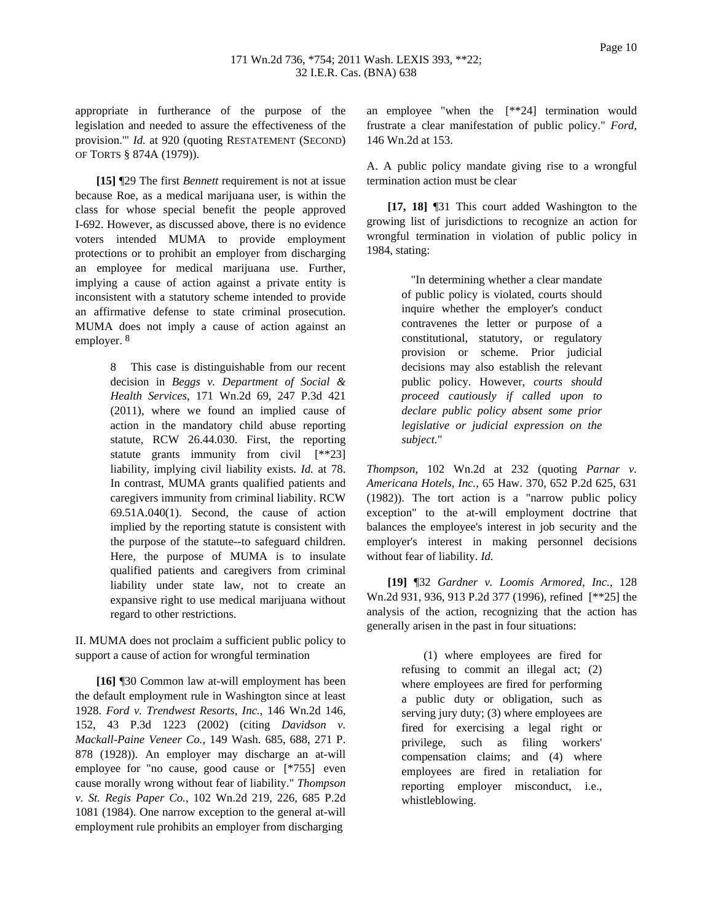appropriate in furtherance of the purpose of the legislation and needed to assure the effectiveness of the provision.'" *Id.* at 920 (quoting RESTATEMENT (SECOND) OF TORTS § 874A (1979)).

**[15]** ¶29 The first *Bennett* requirement is not at issue because Roe, as a medical marijuana user, is within the class for whose special benefit the people approved I-692. However, as discussed above, there is no evidence voters intended MUMA to provide employment protections or to prohibit an employer from discharging an employee for medical marijuana use. Further, implying a cause of action against a private entity is inconsistent with a statutory scheme intended to provide an affirmative defense to state criminal prosecution. MUMA does not imply a cause of action against an employer. 8

> 8 This case is distinguishable from our recent decision in *Beggs v. Department of Social & Health Services*, 171 Wn.2d 69, 247 P.3d 421 (2011), where we found an implied cause of action in the mandatory child abuse reporting statute, RCW 26.44.030. First, the reporting statute grants immunity from civil [\*\*23] liability, implying civil liability exists. *Id.* at 78. In contrast, MUMA grants qualified patients and caregivers immunity from criminal liability. RCW 69.51A.040(1). Second, the cause of action implied by the reporting statute is consistent with the purpose of the statute--to safeguard children. Here, the purpose of MUMA is to insulate qualified patients and caregivers from criminal liability under state law, not to create an expansive right to use medical marijuana without regard to other restrictions.

II. MUMA does not proclaim a sufficient public policy to support a cause of action for wrongful termination

**[16]** ¶30 Common law at-will employment has been the default employment rule in Washington since at least 1928. *Ford v. Trendwest Resorts, Inc.*, 146 Wn.2d 146, 152, 43 P.3d 1223 (2002) (citing *Davidson v. Mackall-Paine Veneer Co.*, 149 Wash. 685, 688, 271 P. 878 (1928)). An employer may discharge an at-will employee for "no cause, good cause or [\*755] even cause morally wrong without fear of liability." *Thompson v. St. Regis Paper Co.*, 102 Wn.2d 219, 226, 685 P.2d 1081 (1984). One narrow exception to the general at-will employment rule prohibits an employer from discharging

an employee "when the [\*\*24] termination would frustrate a clear manifestation of public policy." *Ford*, 146 Wn.2d at 153.

A. A public policy mandate giving rise to a wrongful termination action must be clear

**[17, 18]** ¶31 This court added Washington to the growing list of jurisdictions to recognize an action for wrongful termination in violation of public policy in 1984, stating:

> "In determining whether a clear mandate of public policy is violated, courts should inquire whether the employer's conduct contravenes the letter or purpose of a constitutional, statutory, or regulatory provision or scheme. Prior judicial decisions may also establish the relevant public policy. However, *courts should proceed cautiously if called upon to declare public policy absent some prior legislative or judicial expression on the subject.*"

*Thompson*, 102 Wn.2d at 232 (quoting *Parnar v. Americana Hotels, Inc.*, 65 Haw. 370, 652 P.2d 625, 631 (1982)). The tort action is a "narrow public policy exception" to the at-will employment doctrine that balances the employee's interest in job security and the employer's interest in making personnel decisions without fear of liability. *Id.*

**[19]** ¶32 *Gardner v. Loomis Armored, Inc.*, 128 Wn.2d 931, 936, 913 P.2d 377 (1996), refined [\*\*25] the analysis of the action, recognizing that the action has generally arisen in the past in four situations:

> (1) where employees are fired for refusing to commit an illegal act; (2) where employees are fired for performing a public duty or obligation, such as serving jury duty; (3) where employees are fired for exercising a legal right or privilege, such as filing workers' compensation claims; and (4) where employees are fired in retaliation for reporting employer misconduct, i.e., whistleblowing.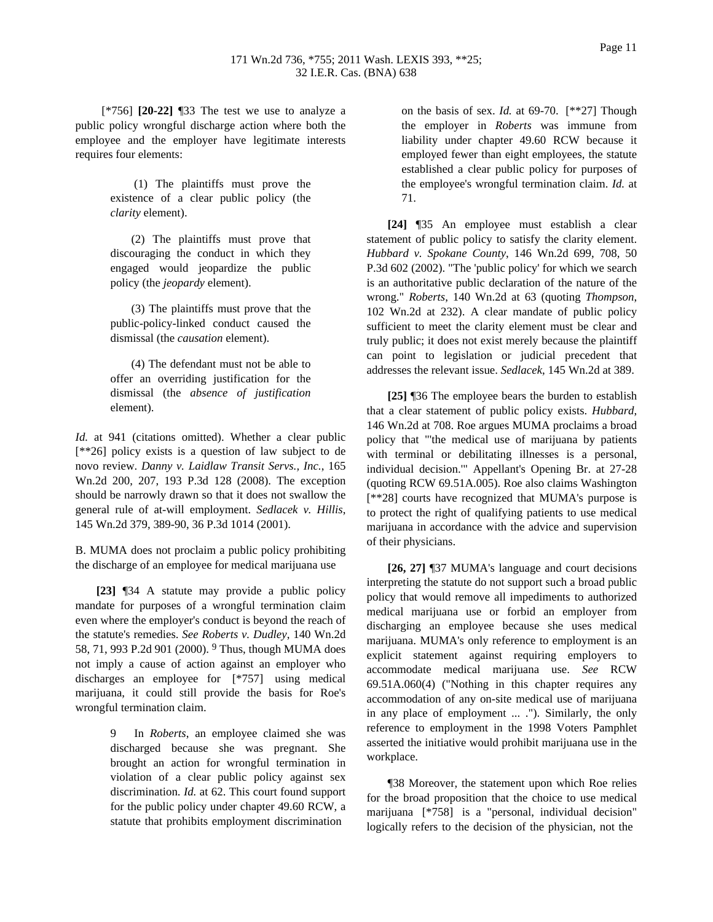[\*756] **[20-22]** ¶33 The test we use to analyze a public policy wrongful discharge action where both the employee and the employer have legitimate interests requires four elements:

> (1) The plaintiffs must prove the existence of a clear public policy (the *clarity* element).

(2) The plaintiffs must prove that discouraging the conduct in which they engaged would jeopardize the public policy (the *jeopardy* element).

(3) The plaintiffs must prove that the public-policy-linked conduct caused the dismissal (the *causation* element).

(4) The defendant must not be able to offer an overriding justification for the dismissal (the *absence of justification* element).

*Id.* at 941 (citations omitted). Whether a clear public [\*\*26] policy exists is a question of law subject to de novo review. *Danny v. Laidlaw Transit Servs., Inc.*, 165 Wn.2d 200, 207, 193 P.3d 128 (2008). The exception should be narrowly drawn so that it does not swallow the general rule of at-will employment. *Sedlacek v. Hillis*, 145 Wn.2d 379, 389-90, 36 P.3d 1014 (2001).

B. MUMA does not proclaim a public policy prohibiting the discharge of an employee for medical marijuana use

**[23]** ¶34 A statute may provide a public policy mandate for purposes of a wrongful termination claim even where the employer's conduct is beyond the reach of the statute's remedies. *See Roberts v. Dudley*, 140 Wn.2d 58, 71, 993 P.2d 901 (2000). 9 Thus, though MUMA does not imply a cause of action against an employer who discharges an employee for [\*757] using medical marijuana, it could still provide the basis for Roe's wrongful termination claim.

> In *Roberts*, an employee claimed she was discharged because she was pregnant. She brought an action for wrongful termination in violation of a clear public policy against sex discrimination. *Id.* at 62. This court found support for the public policy under chapter 49.60 RCW, a statute that prohibits employment discrimination

on the basis of sex. *Id.* at 69-70. [\*\*27] Though the employer in *Roberts* was immune from liability under chapter 49.60 RCW because it employed fewer than eight employees, the statute established a clear public policy for purposes of the employee's wrongful termination claim. *Id.* at 71.

**[24]** ¶35 An employee must establish a clear statement of public policy to satisfy the clarity element. *Hubbard v. Spokane County*, 146 Wn.2d 699, 708, 50 P.3d 602 (2002). "The 'public policy' for which we search is an authoritative public declaration of the nature of the wrong." *Roberts*, 140 Wn.2d at 63 (quoting *Thompson*, 102 Wn.2d at 232). A clear mandate of public policy sufficient to meet the clarity element must be clear and truly public; it does not exist merely because the plaintiff can point to legislation or judicial precedent that addresses the relevant issue. *Sedlacek*, 145 Wn.2d at 389.

**[25]** ¶36 The employee bears the burden to establish that a clear statement of public policy exists. *Hubbard*, 146 Wn.2d at 708. Roe argues MUMA proclaims a broad policy that "'the medical use of marijuana by patients with terminal or debilitating illnesses is a personal, individual decision.'" Appellant's Opening Br. at 27-28 (quoting RCW 69.51A.005). Roe also claims Washington [\*\*28] courts have recognized that MUMA's purpose is to protect the right of qualifying patients to use medical marijuana in accordance with the advice and supervision of their physicians.

**[26, 27]** ¶37 MUMA's language and court decisions interpreting the statute do not support such a broad public policy that would remove all impediments to authorized medical marijuana use or forbid an employer from discharging an employee because she uses medical marijuana. MUMA's only reference to employment is an explicit statement against requiring employers to accommodate medical marijuana use. *See* RCW 69.51A.060(4) ("Nothing in this chapter requires any accommodation of any on-site medical use of marijuana in any place of employment ... ."). Similarly, the only reference to employment in the 1998 Voters Pamphlet asserted the initiative would prohibit marijuana use in the workplace.

¶38 Moreover, the statement upon which Roe relies for the broad proposition that the choice to use medical marijuana [\*758] is a "personal, individual decision" logically refers to the decision of the physician, not the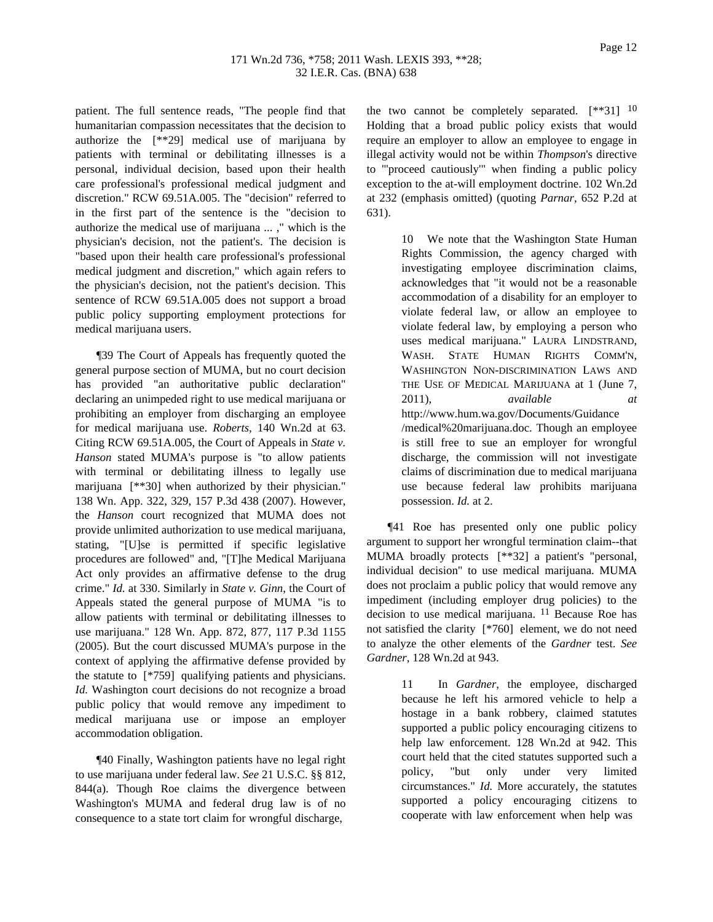patient. The full sentence reads, "The people find that humanitarian compassion necessitates that the decision to authorize the [\*\*29] medical use of marijuana by patients with terminal or debilitating illnesses is a personal, individual decision, based upon their health care professional's professional medical judgment and discretion." RCW 69.51A.005. The "decision" referred to in the first part of the sentence is the "decision to authorize the medical use of marijuana ... ," which is the physician's decision, not the patient's. The decision is "based upon their health care professional's professional medical judgment and discretion," which again refers to the physician's decision, not the patient's decision. This sentence of RCW 69.51A.005 does not support a broad public policy supporting employment protections for medical marijuana users.

¶39 The Court of Appeals has frequently quoted the general purpose section of MUMA, but no court decision has provided "an authoritative public declaration" declaring an unimpeded right to use medical marijuana or prohibiting an employer from discharging an employee for medical marijuana use. *Roberts*, 140 Wn.2d at 63. Citing RCW 69.51A.005, the Court of Appeals in *State v. Hanson* stated MUMA's purpose is "to allow patients with terminal or debilitating illness to legally use marijuana [\*\*30] when authorized by their physician." 138 Wn. App. 322, 329, 157 P.3d 438 (2007). However, the *Hanson* court recognized that MUMA does not provide unlimited authorization to use medical marijuana, stating, "[U]se is permitted if specific legislative procedures are followed" and, "[T]he Medical Marijuana Act only provides an affirmative defense to the drug crime." *Id.* at 330. Similarly in *State v. Ginn*, the Court of Appeals stated the general purpose of MUMA "is to allow patients with terminal or debilitating illnesses to use marijuana." 128 Wn. App. 872, 877, 117 P.3d 1155 (2005). But the court discussed MUMA's purpose in the context of applying the affirmative defense provided by the statute to [\*759] qualifying patients and physicians. *Id.* Washington court decisions do not recognize a broad public policy that would remove any impediment to medical marijuana use or impose an employer accommodation obligation.

¶40 Finally, Washington patients have no legal right to use marijuana under federal law. *See* 21 U.S.C. §§ 812, 844(a). Though Roe claims the divergence between Washington's MUMA and federal drug law is of no consequence to a state tort claim for wrongful discharge,

the two cannot be completely separated.  $[**31]$  <sup>10</sup> Holding that a broad public policy exists that would require an employer to allow an employee to engage in illegal activity would not be within *Thompson*'s directive to "'proceed cautiously'" when finding a public policy exception to the at-will employment doctrine. 102 Wn.2d at 232 (emphasis omitted) (quoting *Parnar*, 652 P.2d at 631).

> 10 We note that the Washington State Human Rights Commission, the agency charged with investigating employee discrimination claims, acknowledges that "it would not be a reasonable accommodation of a disability for an employer to violate federal law, or allow an employee to violate federal law, by employing a person who uses medical marijuana." LAURA LINDSTRAND, WASH. STATE HUMAN RIGHTS COMM'N, WASHINGTON NON-DISCRIMINATION LAWS AND THE USE OF MEDICAL MARIJUANA at 1 (June 7, 2011), *available at* http://www.hum.wa.gov/Documents/Guidance /medical%20marijuana.doc. Though an employee is still free to sue an employer for wrongful discharge, the commission will not investigate claims of discrimination due to medical marijuana use because federal law prohibits marijuana possession. *Id.* at 2.

¶41 Roe has presented only one public policy argument to support her wrongful termination claim--that MUMA broadly protects [\*\*32] a patient's "personal, individual decision" to use medical marijuana. MUMA does not proclaim a public policy that would remove any impediment (including employer drug policies) to the decision to use medical marijuana. 11 Because Roe has not satisfied the clarity [\*760] element, we do not need to analyze the other elements of the *Gardner* test. *See Gardner*, 128 Wn.2d at 943.

> 11 In *Gardner*, the employee, discharged because he left his armored vehicle to help a hostage in a bank robbery, claimed statutes supported a public policy encouraging citizens to help law enforcement. 128 Wn.2d at 942. This court held that the cited statutes supported such a policy, "but only under very limited circumstances." *Id.* More accurately, the statutes supported a policy encouraging citizens to cooperate with law enforcement when help was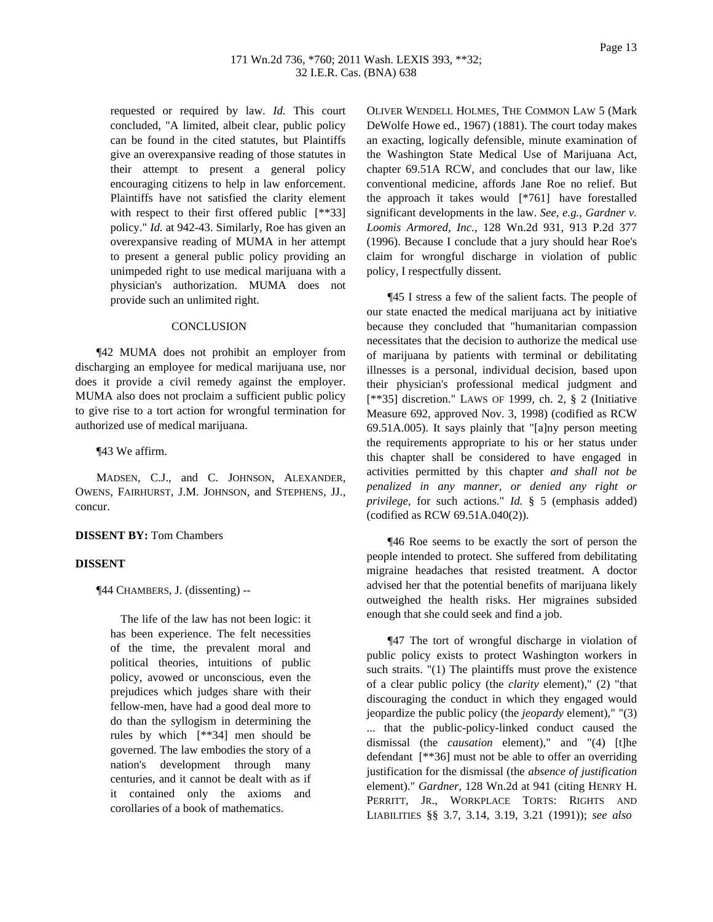requested or required by law. *Id.* This court concluded, "A limited, albeit clear, public policy can be found in the cited statutes, but Plaintiffs give an overexpansive reading of those statutes in their attempt to present a general policy encouraging citizens to help in law enforcement. Plaintiffs have not satisfied the clarity element with respect to their first offered public [\*\*33] policy." *Id.* at 942-43. Similarly, Roe has given an overexpansive reading of MUMA in her attempt to present a general public policy providing an unimpeded right to use medical marijuana with a physician's authorization. MUMA does not provide such an unlimited right.

## **CONCLUSION**

¶42 MUMA does not prohibit an employer from discharging an employee for medical marijuana use, nor does it provide a civil remedy against the employer. MUMA also does not proclaim a sufficient public policy to give rise to a tort action for wrongful termination for authorized use of medical marijuana.

¶43 We affirm.

MADSEN, C.J., and C. JOHNSON, ALEXANDER, OWENS, FAIRHURST, J.M. JOHNSON, and STEPHENS, JJ., concur.

#### **DISSENT BY:** Tom Chambers

# **DISSENT**

¶44 CHAMBERS, J. (dissenting) --

The life of the law has not been logic: it has been experience. The felt necessities of the time, the prevalent moral and political theories, intuitions of public policy, avowed or unconscious, even the prejudices which judges share with their fellow-men, have had a good deal more to do than the syllogism in determining the rules by which [\*\*34] men should be governed. The law embodies the story of a nation's development through many centuries, and it cannot be dealt with as if it contained only the axioms and corollaries of a book of mathematics.

OLIVER WENDELL HOLMES, THE COMMON LAW 5 (Mark DeWolfe Howe ed., 1967) (1881). The court today makes an exacting, logically defensible, minute examination of the Washington State Medical Use of Marijuana Act, chapter 69.51A RCW, and concludes that our law, like conventional medicine, affords Jane Roe no relief. But the approach it takes would [\*761] have forestalled significant developments in the law. *See, e.g.*, *Gardner v. Loomis Armored, Inc.*, 128 Wn.2d 931, 913 P.2d 377 (1996). Because I conclude that a jury should hear Roe's claim for wrongful discharge in violation of public policy, I respectfully dissent.

¶45 I stress a few of the salient facts. The people of our state enacted the medical marijuana act by initiative because they concluded that "humanitarian compassion necessitates that the decision to authorize the medical use of marijuana by patients with terminal or debilitating illnesses is a personal, individual decision, based upon their physician's professional medical judgment and [\*\*35] discretion." LAWS OF 1999, ch. 2, § 2 (Initiative Measure 692, approved Nov. 3, 1998) (codified as RCW 69.51A.005). It says plainly that "[a]ny person meeting the requirements appropriate to his or her status under this chapter shall be considered to have engaged in activities permitted by this chapter *and shall not be penalized in any manner, or denied any right or privilege*, for such actions." *Id.* § 5 (emphasis added) (codified as RCW 69.51A.040(2)).

¶46 Roe seems to be exactly the sort of person the people intended to protect. She suffered from debilitating migraine headaches that resisted treatment. A doctor advised her that the potential benefits of marijuana likely outweighed the health risks. Her migraines subsided enough that she could seek and find a job.

¶47 The tort of wrongful discharge in violation of public policy exists to protect Washington workers in such straits. "(1) The plaintiffs must prove the existence of a clear public policy (the *clarity* element)," (2) "that discouraging the conduct in which they engaged would jeopardize the public policy (the *jeopardy* element)," "(3) ... that the public-policy-linked conduct caused the dismissal (the *causation* element)," and "(4) [t]he defendant [\*\*36] must not be able to offer an overriding justification for the dismissal (the *absence of justification* element)." *Gardner*, 128 Wn.2d at 941 (citing HENRY H. PERRITT, JR., WORKPLACE TORTS: RIGHTS AND LIABILITIES §§ 3.7, 3.14, 3.19, 3.21 (1991)); *see also*